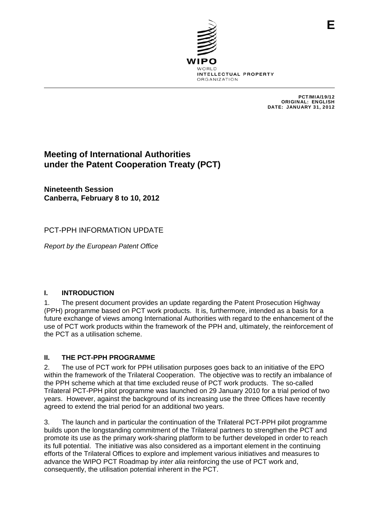

PCT/MIA/19/12 ORIGINAL: ENGLISH DATE: JANUARY 31, 2012

**E**

# **Meeting of International Authorities under the Patent Cooperation Treaty (PCT)**

**Nineteenth Session Canberra, February 8 to 10, 2012** 

## PCT-PPH INFORMATION UPDATE

*Report by the European Patent Office* 

### **I. INTRODUCTION**

1. The present document provides an update regarding the Patent Prosecution Highway (PPH) programme based on PCT work products. It is, furthermore, intended as a basis for a future exchange of views among International Authorities with regard to the enhancement of the use of PCT work products within the framework of the PPH and, ultimately, the reinforcement of the PCT as a utilisation scheme.

### **II. THE PCT-PPH PROGRAMME**

2. The use of PCT work for PPH utilisation purposes goes back to an initiative of the EPO within the framework of the Trilateral Cooperation. The objective was to rectify an imbalance of the PPH scheme which at that time excluded reuse of PCT work products. The so-called Trilateral PCT-PPH pilot programme was launched on 29 January 2010 for a trial period of two years. However, against the background of its increasing use the three Offices have recently agreed to extend the trial period for an additional two years.

3. The launch and in particular the continuation of the Trilateral PCT-PPH pilot programme builds upon the longstanding commitment of the Trilateral partners to strengthen the PCT and promote its use as the primary work-sharing platform to be further developed in order to reach its full potential. The initiative was also considered as a important element in the continuing efforts of the Trilateral Offices to explore and implement various initiatives and measures to advance the WIPO PCT Roadmap by *inter alia* reinforcing the use of PCT work and, consequently, the utilisation potential inherent in the PCT.